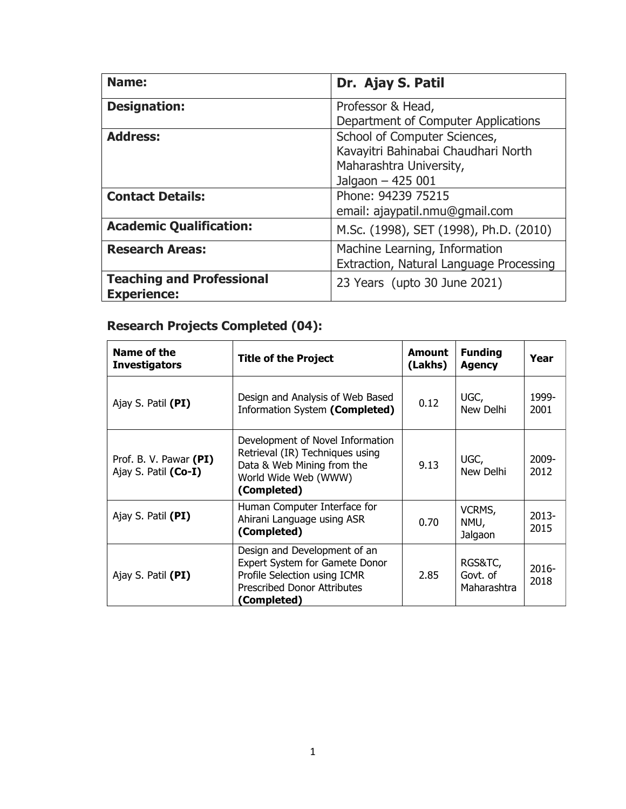| Name:                            | Dr. Ajay S. Patil                       |
|----------------------------------|-----------------------------------------|
| <b>Designation:</b>              | Professor & Head,                       |
|                                  | Department of Computer Applications     |
| <b>Address:</b>                  | School of Computer Sciences,            |
|                                  | Kavayitri Bahinabai Chaudhari North     |
|                                  | Maharashtra University,                 |
|                                  | Jalgaon - 425 001                       |
| <b>Contact Details:</b>          | Phone: 94239 75215                      |
|                                  | email: ajaypatil.nmu@gmail.com          |
| <b>Academic Qualification:</b>   | M.Sc. (1998), SET (1998), Ph.D. (2010)  |
| <b>Research Areas:</b>           | Machine Learning, Information           |
|                                  | Extraction, Natural Language Processing |
| <b>Teaching and Professional</b> | 23 Years (upto 30 June 2021)            |
| <b>Experience:</b>               |                                         |

# **Research Projects Completed (04):**

| Name of the<br><b>Investigators</b>            | <b>Title of the Project</b>                                                                                                                         | <b>Amount</b><br>(Lakhs) | <b>Funding</b><br><b>Agency</b>    | Year             |
|------------------------------------------------|-----------------------------------------------------------------------------------------------------------------------------------------------------|--------------------------|------------------------------------|------------------|
| Ajay S. Patil (PI)                             | Design and Analysis of Web Based<br>Information System (Completed)                                                                                  | 0.12                     | UGC,<br>New Delhi                  | 1999-<br>2001    |
| Prof. B. V. Pawar (PI)<br>Ajay S. Patil (Co-I) | Development of Novel Information<br>Retrieval (IR) Techniques using<br>Data & Web Mining from the<br>World Wide Web (WWW)<br>(Completed)            | 9.13                     | UGC,<br>New Delhi                  | $2009 -$<br>2012 |
| Ajay S. Patil (PI)                             | Human Computer Interface for<br>Ahirani Language using ASR<br>(Completed)                                                                           | 0.70                     | VCRMS,<br>NMU,<br>Jalgaon          | $2013 -$<br>2015 |
| Ajay S. Patil (PI)                             | Design and Development of an<br>Expert System for Gamete Donor<br>Profile Selection using ICMR<br><b>Prescribed Donor Attributes</b><br>(Completed) | 2.85                     | RGS&TC,<br>Govt. of<br>Maharashtra | $2016 -$<br>2018 |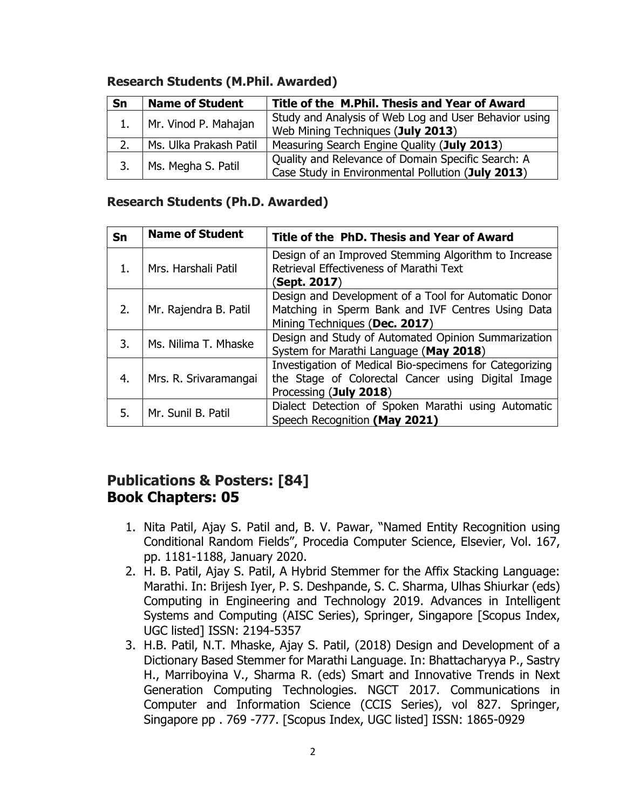| Sn | <b>Name of Student</b>    | Title of the M.Phil. Thesis and Year of Award                                                           |
|----|---------------------------|---------------------------------------------------------------------------------------------------------|
|    | 1.   Mr. Vinod P. Mahajan | Study and Analysis of Web Log and User Behavior using                                                   |
|    |                           | Web Mining Techniques (July 2013)                                                                       |
| 2. | Ms. Ulka Prakash Patil    | Measuring Search Engine Quality (July 2013)                                                             |
| 3. | Ms. Megha S. Patil        | Quality and Relevance of Domain Specific Search: A<br>Case Study in Environmental Pollution (July 2013) |
|    |                           |                                                                                                         |

#### **Research Students (M.Phil. Awarded)**

#### **Research Students (Ph.D. Awarded)**

| Sn | <b>Name of Student</b> | Title of the PhD. Thesis and Year of Award                                                                                                 |
|----|------------------------|--------------------------------------------------------------------------------------------------------------------------------------------|
| 1. | Mrs. Harshali Patil    | Design of an Improved Stemming Algorithm to Increase<br>Retrieval Effectiveness of Marathi Text<br>(Sept. 2017)                            |
| 2. | Mr. Rajendra B. Patil  | Design and Development of a Tool for Automatic Donor<br>Matching in Sperm Bank and IVF Centres Using Data<br>Mining Techniques (Dec. 2017) |
| 3. | Ms. Nilima T. Mhaske   | Design and Study of Automated Opinion Summarization<br>System for Marathi Language (May 2018)                                              |
| 4. | Mrs. R. Srivaramangai  | Investigation of Medical Bio-specimens for Categorizing<br>the Stage of Colorectal Cancer using Digital Image<br>Processing (July 2018)    |
| 5. | Mr. Sunil B. Patil     | Dialect Detection of Spoken Marathi using Automatic<br>Speech Recognition (May 2021)                                                       |

#### **Publications & Posters: [84] Book Chapters: 05**

- 1. Nita Patil, Ajay S. Patil and, B. V. Pawar, "Named Entity Recognition using Conditional Random Fields", Procedia Computer Science, Elsevier, Vol. 167, pp. 1181-1188, January 2020.
- 2. H. B. Patil, Ajay S. Patil, A Hybrid Stemmer for the Affix Stacking Language: Marathi. In: Brijesh Iyer, P. S. Deshpande, S. C. Sharma, Ulhas Shiurkar (eds) Computing in Engineering and Technology 2019. Advances in Intelligent Systems and Computing (AISC Series), Springer, Singapore [Scopus Index, UGC listed] ISSN: 2194-5357
- 3. H.B. Patil, N.T. Mhaske, Ajay S. Patil, (2018) Design and Development of a Dictionary Based Stemmer for Marathi Language. In: Bhattacharyya P., Sastry H., Marriboyina V., Sharma R. (eds) Smart and Innovative Trends in Next Generation Computing Technologies. NGCT 2017. Communications in Computer and Information Science (CCIS Series), vol 827. Springer, Singapore pp . 769 -777. [Scopus Index, UGC listed] ISSN: 1865-0929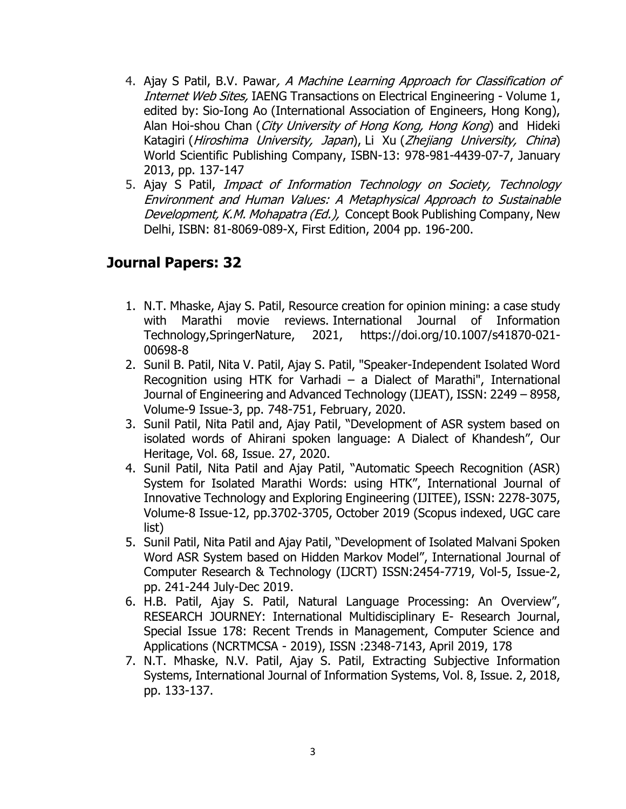- 4. Ajay S Patil, B.V. Pawar, A Machine Learning Approach for Classification of Internet Web Sites, IAENG Transactions on Electrical Engineering - Volume 1, edited by: Sio-Iong Ao (International Association of Engineers, Hong Kong), Alan Hoi-shou Chan (City University of Hong Kong, Hong Kong) and Hideki Katagiri (Hiroshima University, Japan), Li Xu (Zhejiang University, China) World Scientific Publishing Company, ISBN-13: 978-981-4439-07-7, January 2013, pp. 137-147
- 5. Ajay S Patil, Impact of Information Technology on Society, Technology Environment and Human Values: A Metaphysical Approach to Sustainable Development, K.M. Mohapatra (Ed.), Concept Book Publishing Company, New Delhi, ISBN: 81-8069-089-X, First Edition, 2004 pp. 196-200.

#### **Journal Papers: 32**

- 1. N.T. Mhaske, Ajay S. Patil, Resource creation for opinion mining: a case study with Marathi movie reviews. International Journal of Information Technology,SpringerNature, 2021, https://doi.org/10.1007/s41870-021- 00698-8
- 2. Sunil B. Patil, Nita V. Patil, Ajay S. Patil, "Speaker-Independent Isolated Word Recognition using HTK for Varhadi – a Dialect of Marathi", International Journal of Engineering and Advanced Technology (IJEAT), ISSN: 2249 – 8958, Volume-9 Issue-3, pp. 748-751, February, 2020.
- 3. Sunil Patil, Nita Patil and, Ajay Patil, "Development of ASR system based on isolated words of Ahirani spoken language: A Dialect of Khandesh", Our Heritage, Vol. 68, Issue. 27, 2020.
- 4. Sunil Patil, Nita Patil and Ajay Patil, "Automatic Speech Recognition (ASR) System for Isolated Marathi Words: using HTK", International Journal of Innovative Technology and Exploring Engineering (IJITEE), ISSN: 2278-3075, Volume-8 Issue-12, pp.3702-3705, October 2019 (Scopus indexed, UGC care list)
- 5. Sunil Patil, Nita Patil and Ajay Patil, "Development of Isolated Malvani Spoken Word ASR System based on Hidden Markov Model", International Journal of Computer Research & Technology (IJCRT) ISSN:2454-7719, Vol-5, Issue-2, pp. 241-244 July-Dec 2019.
- 6. H.B. Patil, Ajay S. Patil, Natural Language Processing: An Overview", RESEARCH JOURNEY: International Multidisciplinary E- Research Journal, Special Issue 178: Recent Trends in Management, Computer Science and Applications (NCRTMCSA - 2019), ISSN :2348-7143, April 2019, 178
- 7. N.T. Mhaske, N.V. Patil, Ajay S. Patil, Extracting Subjective Information Systems, International Journal of Information Systems, Vol. 8, Issue. 2, 2018, pp. 133-137.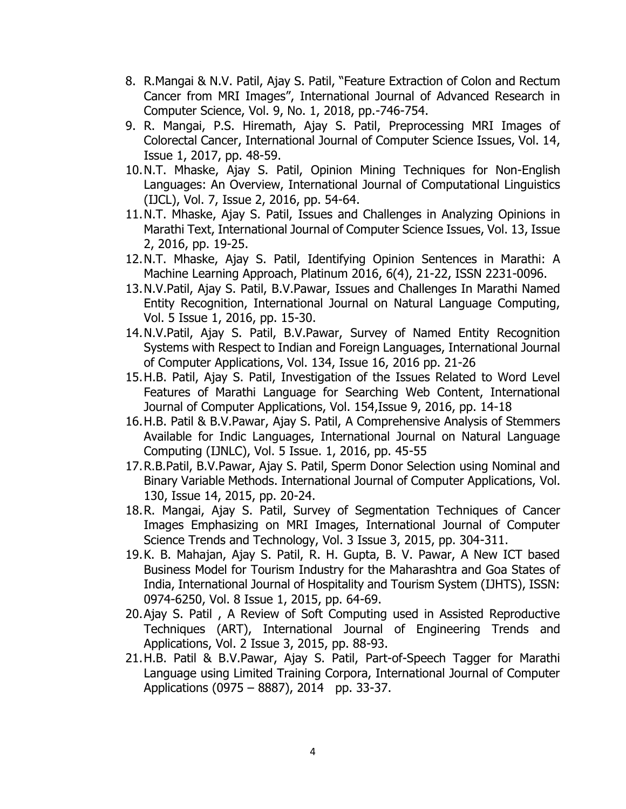- 8. R.Mangai & N.V. Patil, Ajay S. Patil, "Feature Extraction of Colon and Rectum Cancer from MRI Images", International Journal of Advanced Research in Computer Science, Vol. 9, No. 1, 2018, pp.-746-754.
- 9. R. Mangai, P.S. Hiremath, Ajay S. Patil, Preprocessing MRI Images of Colorectal Cancer, International Journal of Computer Science Issues, Vol. 14, Issue 1, 2017, pp. 48-59.
- 10.N.T. Mhaske, Ajay S. Patil, Opinion Mining Techniques for Non-English Languages: An Overview, International Journal of Computational Linguistics (IJCL), Vol. 7, Issue 2, 2016, pp. 54-64.
- 11.N.T. Mhaske, Ajay S. Patil, Issues and Challenges in Analyzing Opinions in Marathi Text, International Journal of Computer Science Issues, Vol. 13, Issue 2, 2016, pp. 19-25.
- 12.N.T. Mhaske, Ajay S. Patil, Identifying Opinion Sentences in Marathi: A Machine Learning Approach, Platinum 2016, 6(4), 21-22, ISSN 2231-0096.
- 13.N.V.Patil, Ajay S. Patil, B.V.Pawar, Issues and Challenges In Marathi Named Entity Recognition, International Journal on Natural Language Computing, Vol. 5 Issue 1, 2016, pp. 15-30.
- 14.N.V.Patil, Ajay S. Patil, B.V.Pawar, Survey of Named Entity Recognition Systems with Respect to Indian and Foreign Languages, International Journal of Computer Applications, Vol. 134, Issue 16, 2016 pp. 21-26
- 15.H.B. Patil, Ajay S. Patil, Investigation of the Issues Related to Word Level Features of Marathi Language for Searching Web Content, International Journal of Computer Applications, Vol. 154,Issue 9, 2016, pp. 14-18
- 16.H.B. Patil & B.V.Pawar, Ajay S. Patil, A Comprehensive Analysis of Stemmers Available for Indic Languages, International Journal on Natural Language Computing (IJNLC), Vol. 5 Issue. 1, 2016, pp. 45-55
- 17.R.B.Patil, B.V.Pawar, Ajay S. Patil, Sperm Donor Selection using Nominal and Binary Variable Methods. International Journal of Computer Applications, Vol. 130, Issue 14, 2015, pp. 20-24.
- 18.R. Mangai, Ajay S. Patil, Survey of Segmentation Techniques of Cancer Images Emphasizing on MRI Images, International Journal of Computer Science Trends and Technology, Vol. 3 Issue 3, 2015, pp. 304-311.
- 19.K. B. Mahajan, Ajay S. Patil, R. H. Gupta, B. V. Pawar, A New ICT based Business Model for Tourism Industry for the Maharashtra and Goa States of India, International Journal of Hospitality and Tourism System (IJHTS), ISSN: 0974-6250, Vol. 8 Issue 1, 2015, pp. 64-69.
- 20.Ajay S. Patil , A Review of Soft Computing used in Assisted Reproductive Techniques (ART), International Journal of Engineering Trends and Applications, Vol. 2 Issue 3, 2015, pp. 88-93.
- 21.H.B. Patil & B.V.Pawar, Ajay S. Patil, Part-of-Speech Tagger for Marathi Language using Limited Training Corpora, International Journal of Computer Applications (0975 – 8887), 2014 pp. 33-37.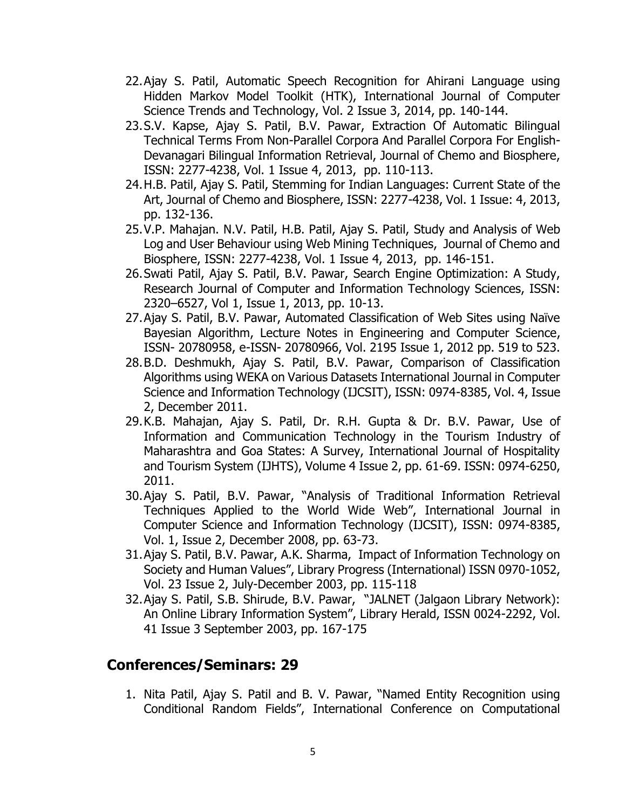- 22.Ajay S. Patil, Automatic Speech Recognition for Ahirani Language using Hidden Markov Model Toolkit (HTK), International Journal of Computer Science Trends and Technology, Vol. 2 Issue 3, 2014, pp. 140-144.
- 23.S.V. Kapse, Ajay S. Patil, B.V. Pawar, Extraction Of Automatic Bilingual Technical Terms From Non-Parallel Corpora And Parallel Corpora For English-Devanagari Bilingual Information Retrieval, Journal of Chemo and Biosphere, ISSN: 2277-4238, Vol. 1 Issue 4, 2013, pp. 110-113.
- 24.H.B. Patil, Ajay S. Patil, Stemming for Indian Languages: Current State of the Art, Journal of Chemo and Biosphere, ISSN: 2277-4238, Vol. 1 Issue: 4, 2013, pp. 132-136.
- 25.V.P. Mahajan. N.V. Patil, H.B. Patil, Ajay S. Patil, Study and Analysis of Web Log and User Behaviour using Web Mining Techniques, Journal of Chemo and Biosphere, ISSN: 2277-4238, Vol. 1 Issue 4, 2013, pp. 146-151.
- 26.Swati Patil, Ajay S. Patil, B.V. Pawar, Search Engine Optimization: A Study, Research Journal of Computer and Information Technology Sciences, ISSN: 2320–6527, Vol 1, Issue 1, 2013, pp. 10-13.
- 27.Ajay S. Patil, B.V. Pawar, Automated Classification of Web Sites using Naïve Bayesian Algorithm, [Lecture Notes in Engineering and Computer Science,](http://www.doaj.org/doaj?func=openurl&issn=20780958&genre=journal&uiLanguage=en) ISSN- 20780958, e-ISSN- 20780966, Vol. 2195 Issue 1, 2012 pp. 519 to 523.
- 28.B.D. Deshmukh, Ajay S. Patil, B.V. Pawar, Comparison of Classification Algorithms using WEKA on Various Datasets International Journal in Computer Science and Information Technology (IJCSIT), ISSN: 0974-8385, Vol. 4, Issue 2, December 2011.
- 29.K.B. Mahajan, Ajay S. Patil, Dr. R.H. Gupta & Dr. B.V. Pawar, Use of Information and Communication Technology in the Tourism Industry of Maharashtra and Goa States: A Survey, International Journal of Hospitality and Tourism System (IJHTS), Volume 4 Issue 2, pp. 61-69. ISSN: 0974-6250, 2011.
- 30.Ajay S. Patil, B.V. Pawar, "Analysis of Traditional Information Retrieval Techniques Applied to the World Wide Web", International Journal in Computer Science and Information Technology (IJCSIT), ISSN: 0974-8385, Vol. 1, Issue 2, December 2008, pp. 63-73.
- 31.Ajay S. Patil, B.V. Pawar, A.K. Sharma, Impact of Information Technology on Society and Human Values", Library Progress (International) ISSN 0970-1052, Vol. 23 Issue 2, July-December 2003, pp. 115-118
- 32.Ajay S. Patil, S.B. Shirude, B.V. Pawar, "JALNET (Jalgaon Library Network): An Online Library Information System", Library Herald, ISSN 0024-2292, Vol. 41 Issue 3 September 2003, pp. 167-175

### **Conferences/Seminars: 29**

1. Nita Patil, Ajay S. Patil and B. V. Pawar, "Named Entity Recognition using Conditional Random Fields", International Conference on Computational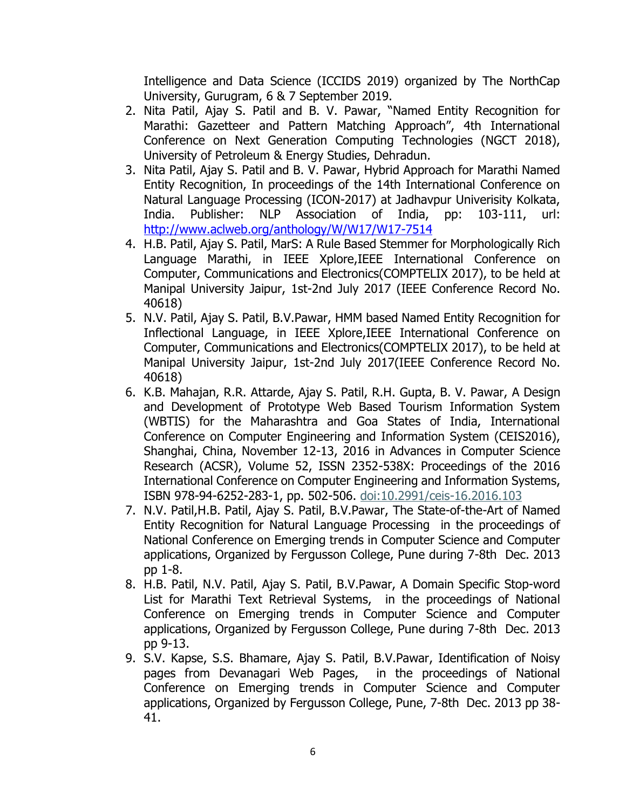Intelligence and Data Science (ICCIDS 2019) organized by The NorthCap University, Gurugram, 6 & 7 September 2019.

- 2. Nita Patil, Ajay S. Patil and B. V. Pawar, "Named Entity Recognition for Marathi: Gazetteer and Pattern Matching Approach", 4th International Conference on Next Generation Computing Technologies (NGCT 2018), University of Petroleum & Energy Studies, Dehradun.
- 3. Nita Patil, Ajay S. Patil and B. V. Pawar, Hybrid Approach for Marathi Named Entity Recognition, In proceedings of the 14th International Conference on Natural Language Processing (ICON-2017) at Jadhavpur Univerisity Kolkata, India. Publisher: NLP Association of India, pp: 103-111, url: <http://www.aclweb.org/anthology/W/W17/W17-7514>
- 4. H.B. Patil, Ajay S. Patil, MarS: A Rule Based Stemmer for Morphologically Rich Language Marathi, in IEEE Xplore,IEEE International Conference on Computer, Communications and Electronics(COMPTELIX 2017), to be held at Manipal University Jaipur, 1st-2nd July 2017 (IEEE Conference Record No. 40618)
- 5. N.V. Patil, Ajay S. Patil, B.V.Pawar, HMM based Named Entity Recognition for Inflectional Language, in IEEE Xplore,IEEE International Conference on Computer, Communications and Electronics(COMPTELIX 2017), to be held at Manipal University Jaipur, 1st-2nd July 2017(IEEE Conference Record No. 40618)
- 6. K.B. Mahajan, R.R. Attarde, Ajay S. Patil, R.H. Gupta, B. V. Pawar, A Design and Development of Prototype Web Based Tourism Information System (WBTIS) for the Maharashtra and Goa States of India, International Conference on Computer Engineering and Information System (CEIS2016), Shanghai, China, November 12-13, 2016 in Advances in Computer Science Research (ACSR), Volume 52, ISSN 2352-538X: Proceedings of the 2016 International Conference on Computer Engineering and Information Systems, ISBN 978-94-6252-283-1, pp. 502-506. [doi:10.2991/ceis-16.2016.103](http://dx.doi.org/10.2991/ceis-16.2016.103)
- 7. N.V. Patil,H.B. Patil, Ajay S. Patil, B.V.Pawar, The State-of-the-Art of Named Entity Recognition for Natural Language Processing in the proceedings of National Conference on Emerging trends in Computer Science and Computer applications, Organized by Fergusson College, Pune during 7-8th Dec. 2013 pp 1-8.
- 8. H.B. Patil, N.V. Patil, Ajay S. Patil, B.V.Pawar, A Domain Specific Stop-word List for Marathi Text Retrieval Systems, in the proceedings of National Conference on Emerging trends in Computer Science and Computer applications, Organized by Fergusson College, Pune during 7-8th Dec. 2013 pp 9-13.
- 9. S.V. Kapse, S.S. Bhamare, Ajay S. Patil, B.V.Pawar, Identification of Noisy pages from Devanagari Web Pages, in the proceedings of National Conference on Emerging trends in Computer Science and Computer applications, Organized by Fergusson College, Pune, 7-8th Dec. 2013 pp 38- 41.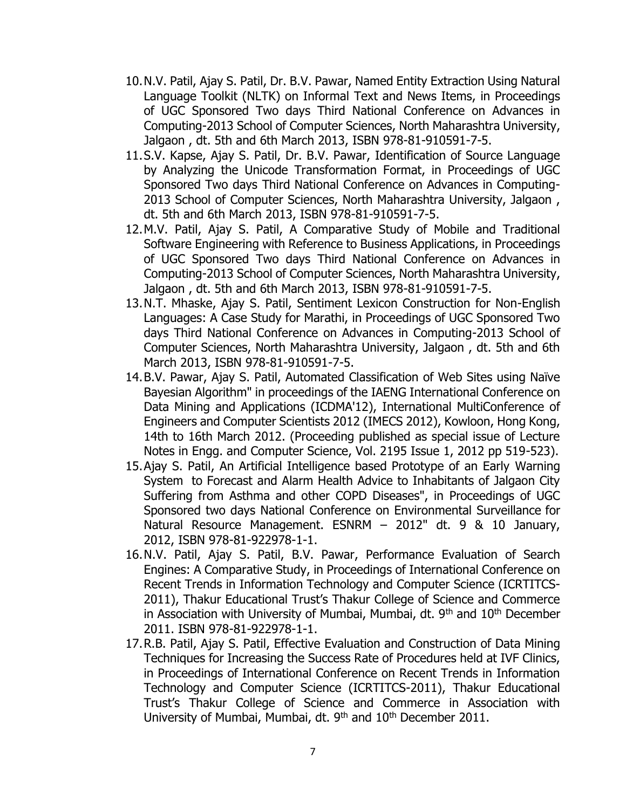- 10.N.V. Patil, Ajay S. Patil, Dr. B.V. Pawar, Named Entity Extraction Using Natural Language Toolkit (NLTK) on Informal Text and News Items, in Proceedings of UGC Sponsored Two days Third National Conference on Advances in Computing-2013 School of Computer Sciences, North Maharashtra University, Jalgaon , dt. 5th and 6th March 2013, ISBN 978-81-910591-7-5.
- 11.S.V. Kapse, Ajay S. Patil, Dr. B.V. Pawar, Identification of Source Language by Analyzing the Unicode Transformation Format, in Proceedings of UGC Sponsored Two days Third National Conference on Advances in Computing-2013 School of Computer Sciences, North Maharashtra University, Jalgaon , dt. 5th and 6th March 2013, ISBN 978-81-910591-7-5.
- 12.M.V. Patil, Ajay S. Patil, A Comparative Study of Mobile and Traditional Software Engineering with Reference to Business Applications, in Proceedings of UGC Sponsored Two days Third National Conference on Advances in Computing-2013 School of Computer Sciences, North Maharashtra University, Jalgaon , dt. 5th and 6th March 2013, ISBN 978-81-910591-7-5.
- 13.N.T. Mhaske, Ajay S. Patil, Sentiment Lexicon Construction for Non-English Languages: A Case Study for Marathi, in Proceedings of UGC Sponsored Two days Third National Conference on Advances in Computing-2013 School of Computer Sciences, North Maharashtra University, Jalgaon , dt. 5th and 6th March 2013, ISBN 978-81-910591-7-5.
- 14.B.V. Pawar, Ajay S. Patil, Automated Classification of Web Sites using Naïve Bayesian Algorithm" in proceedings of the IAENG International Conference on Data Mining and Applications (ICDMA'12), International MultiConference of Engineers and Computer Scientists 2012 (IMECS 2012), Kowloon, Hong Kong, 14th to 16th March 2012. (Proceeding published as special issue of Lecture Notes in Engg. and Computer Science, Vol. 2195 Issue 1, 2012 pp 519-523).
- 15.Ajay S. Patil, An Artificial Intelligence based Prototype of an Early Warning System to Forecast and Alarm Health Advice to Inhabitants of Jalgaon City Suffering from Asthma and other COPD Diseases", in Proceedings of UGC Sponsored two days National Conference on Environmental Surveillance for Natural Resource Management. ESNRM – 2012" dt. 9 & 10 January, 2012, ISBN 978-81-922978-1-1.
- 16.N.V. Patil, Ajay S. Patil, B.V. Pawar, Performance Evaluation of Search Engines: A Comparative Study, in Proceedings of International Conference on Recent Trends in Information Technology and Computer Science (ICRTITCS-2011), Thakur Educational Trust's Thakur College of Science and Commerce in Association with University of Mumbai, Mumbai, dt.  $9<sup>th</sup>$  and  $10<sup>th</sup>$  December 2011. ISBN 978-81-922978-1-1.
- 17.R.B. Patil, Ajay S. Patil, Effective Evaluation and Construction of Data Mining Techniques for Increasing the Success Rate of Procedures held at IVF Clinics, in Proceedings of International Conference on Recent Trends in Information Technology and Computer Science (ICRTITCS-2011), Thakur Educational Trust's Thakur College of Science and Commerce in Association with University of Mumbai, Mumbai, dt. 9<sup>th</sup> and 10<sup>th</sup> December 2011.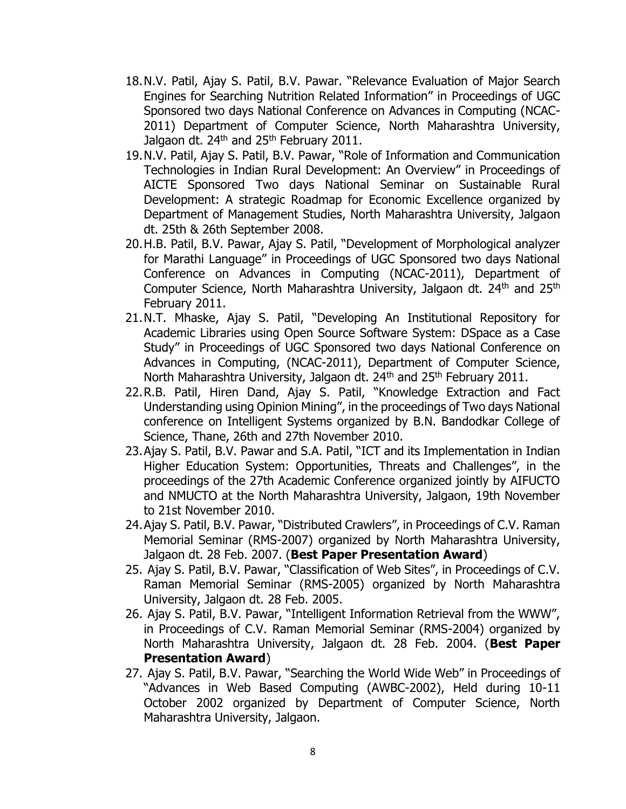- 18.N.V. Patil, Ajay S. Patil, B.V. Pawar. "Relevance Evaluation of Major Search Engines for Searching Nutrition Related Information" in Proceedings of UGC Sponsored two days National Conference on Advances in Computing (NCAC-2011) Department of Computer Science, North Maharashtra University, Jalgaon dt. 24<sup>th</sup> and 25<sup>th</sup> February 2011.
- 19.N.V. Patil, Ajay S. Patil, B.V. Pawar, "Role of Information and Communication Technologies in Indian Rural Development: An Overview" in Proceedings of AICTE Sponsored Two days National Seminar on Sustainable Rural Development: A strategic Roadmap for Economic Excellence organized by Department of Management Studies, North Maharashtra University, Jalgaon dt. 25th & 26th September 2008.
- 20.H.B. Patil, B.V. Pawar, Ajay S. Patil, "Development of Morphological analyzer for Marathi Language" in Proceedings of UGC Sponsored two days National Conference on Advances in Computing (NCAC-2011), Department of Computer Science, North Maharashtra University, Jalgaon dt. 24<sup>th</sup> and 25<sup>th</sup> February 2011.
- 21.N.T. Mhaske, Ajay S. Patil, "Developing An Institutional Repository for Academic Libraries using Open Source Software System: DSpace as a Case Study" in Proceedings of UGC Sponsored two days National Conference on Advances in Computing, (NCAC-2011), Department of Computer Science, North Maharashtra University, Jalgaon dt. 24<sup>th</sup> and 25<sup>th</sup> February 2011.
- 22.R.B. Patil, Hiren Dand, Ajay S. Patil, "Knowledge Extraction and Fact Understanding using Opinion Mining", in the proceedings of Two days National conference on Intelligent Systems organized by B.N. Bandodkar College of Science, Thane, 26th and 27th November 2010.
- 23.Ajay S. Patil, B.V. Pawar and S.A. Patil, "ICT and its Implementation in Indian Higher Education System: Opportunities, Threats and Challenges", in the proceedings of the 27th Academic Conference organized jointly by AIFUCTO and NMUCTO at the North Maharashtra University, Jalgaon, 19th November to 21st November 2010.
- 24.Ajay S. Patil, B.V. Pawar, "Distributed Crawlers", in Proceedings of C.V. Raman Memorial Seminar (RMS-2007) organized by North Maharashtra University, Jalgaon dt. 28 Feb. 2007. (**Best Paper Presentation Award**)
- 25. Ajay S. Patil, B.V. Pawar, "Classification of Web Sites", in Proceedings of C.V. Raman Memorial Seminar (RMS-2005) organized by North Maharashtra University, Jalgaon dt. 28 Feb. 2005.
- 26. Ajay S. Patil, B.V. Pawar, "Intelligent Information Retrieval from the WWW", in Proceedings of C.V. Raman Memorial Seminar (RMS-2004) organized by North Maharashtra University, Jalgaon dt. 28 Feb. 2004. (**Best Paper Presentation Award**)
- 27. Ajay S. Patil, B.V. Pawar, "Searching the World Wide Web" in Proceedings of "Advances in Web Based Computing (AWBC-2002), Held during 10-11 October 2002 organized by Department of Computer Science, North Maharashtra University, Jalgaon.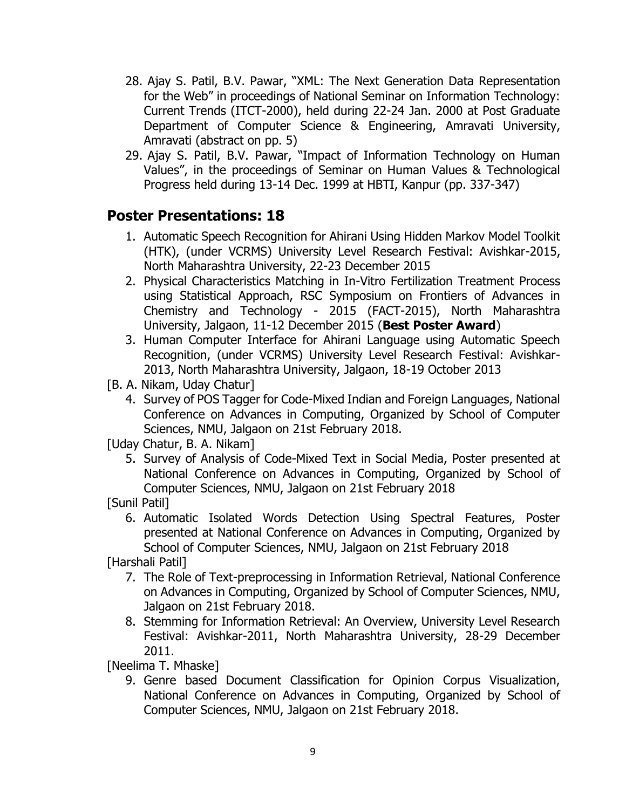- 28. Ajay S. Patil, B.V. Pawar, "XML: The Next Generation Data Representation for the Web" in proceedings of National Seminar on Information Technology: Current Trends (ITCT-2000), held during 22-24 Jan. 2000 at Post Graduate Department of Computer Science & Engineering, Amravati University, Amravati (abstract on pp. 5)
- 29. Ajay S. Patil, B.V. Pawar, "Impact of Information Technology on Human Values", in the proceedings of Seminar on Human Values & Technological Progress held during 13-14 Dec. 1999 at HBTI, Kanpur (pp. 337-347)

## **Poster Presentations: 18**

- 1. Automatic Speech Recognition for Ahirani Using Hidden Markov Model Toolkit (HTK), (under VCRMS) University Level Research Festival: Avishkar-2015, North Maharashtra University, 22-23 December 2015
- 2. Physical Characteristics Matching in In-Vitro Fertilization Treatment Process using Statistical Approach, RSC Symposium on Frontiers of Advances in Chemistry and Technology - 2015 (FACT-2015), North Maharashtra University, Jalgaon, 11-12 December 2015 (**Best Poster Award**)
- 3. Human Computer Interface for Ahirani Language using Automatic Speech Recognition, (under VCRMS) University Level Research Festival: Avishkar-2013, North Maharashtra University, Jalgaon, 18-19 October 2013
- [B. A. Nikam, Uday Chatur]
	- 4. Survey of POS Tagger for Code-Mixed Indian and Foreign Languages, National Conference on Advances in Computing, Organized by School of Computer Sciences, NMU, Jalgaon on 21st February 2018.
- [Uday Chatur, B. A. Nikam]
	- 5. Survey of Analysis of Code-Mixed Text in Social Media, Poster presented at National Conference on Advances in Computing, Organized by School of Computer Sciences, NMU, Jalgaon on 21st February 2018
- [Sunil Patil]
	- 6. Automatic Isolated Words Detection Using Spectral Features, Poster presented at National Conference on Advances in Computing, Organized by School of Computer Sciences, NMU, Jalgaon on 21st February 2018

[Harshali Patil]

- 7. The Role of Text-preprocessing in Information Retrieval, National Conference on Advances in Computing, Organized by School of Computer Sciences, NMU, Jalgaon on 21st February 2018.
- 8. Stemming for Information Retrieval: An Overview, University Level Research Festival: Avishkar-2011, North Maharashtra University, 28-29 December 2011.

[Neelima T. Mhaske]

9. Genre based Document Classification for Opinion Corpus Visualization, National Conference on Advances in Computing, Organized by School of Computer Sciences, NMU, Jalgaon on 21st February 2018.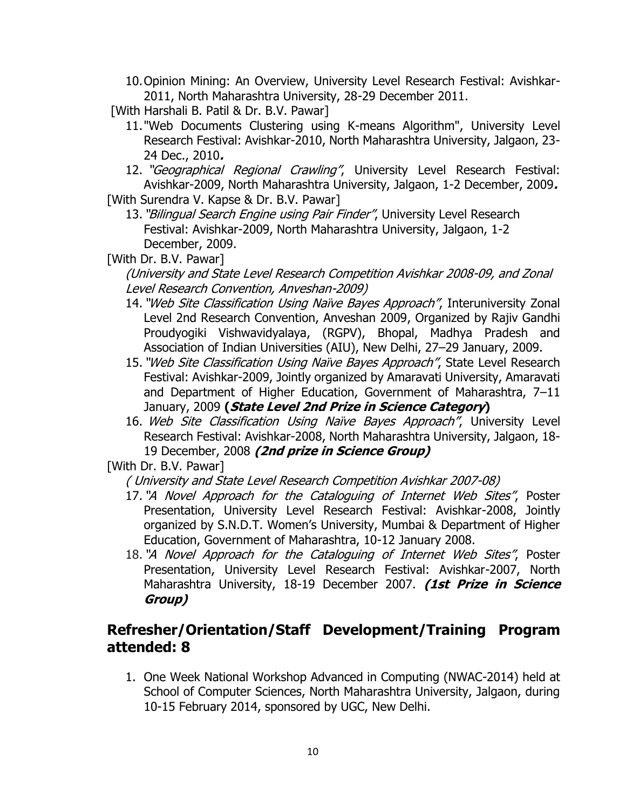10.Opinion Mining: An Overview, University Level Research Festival: Avishkar-2011, North Maharashtra University, 28-29 December 2011.

[With Harshali B. Patil & Dr. B.V. Pawar]

- 11."Web Documents Clustering using K-means Algorithm", University Level Research Festival: Avishkar-2010, North Maharashtra University, Jalgaon, 23- 24 Dec., 2010**.**
- 12. "Geographical Regional Crawling", University Level Research Festival: Avishkar-2009, North Maharashtra University, Jalgaon, 1-2 December, 2009**.**

[With Surendra V. Kapse & Dr. B.V. Pawar]

13. "Bilingual Search Engine using Pair Finder", University Level Research Festival: Avishkar-2009, North Maharashtra University, Jalgaon, 1-2 December, 2009.

[With Dr. B.V. Pawar]

(University and State Level Research Competition Avishkar 2008-09, and Zonal Level Research Convention, Anveshan-2009)

- 14. "Web Site Classification Using Naïve Bayes Approach", Interuniversity Zonal Level 2nd Research Convention, Anveshan 2009, Organized by Rajiv Gandhi Proudyogiki Vishwavidyalaya, (RGPV), Bhopal, Madhya Pradesh and Association of Indian Universities (AIU), New Delhi, 27–29 January, 2009.
- 15. "Web Site Classification Using Naïve Bayes Approach", State Level Research Festival: Avishkar-2009, Jointly organized by Amaravati University, Amaravati and Department of Higher Education, Government of Maharashtra, 7–11 January, 2009 **(State Level 2nd Prize in Science Category)**
- 16. Web Site Classification Using Naïve Bayes Approach", University Level Research Festival: Avishkar-2008, North Maharashtra University, Jalgaon, 18- 19 December, 2008 **(2nd prize in Science Group)**

[With Dr. B.V. Pawar]

( University and State Level Research Competition Avishkar 2007-08)

- 17. "A Novel Approach for the Cataloguing of Internet Web Sites", Poster Presentation, University Level Research Festival: Avishkar-2008, Jointly organized by S.N.D.T. Women's University, Mumbai & Department of Higher Education, Government of Maharashtra, 10-12 January 2008.
- 18. "A Novel Approach for the Cataloguing of Internet Web Sites", Poster Presentation, University Level Research Festival: Avishkar-2007, North Maharashtra University, 18-19 December 2007. **(1st Prize in Science Group)**

### **Refresher/Orientation/Staff Development/Training Program attended: 8**

1. One Week National Workshop Advanced in Computing (NWAC-2014) held at School of Computer Sciences, North Maharashtra University, Jalgaon, during 10-15 February 2014, sponsored by UGC, New Delhi.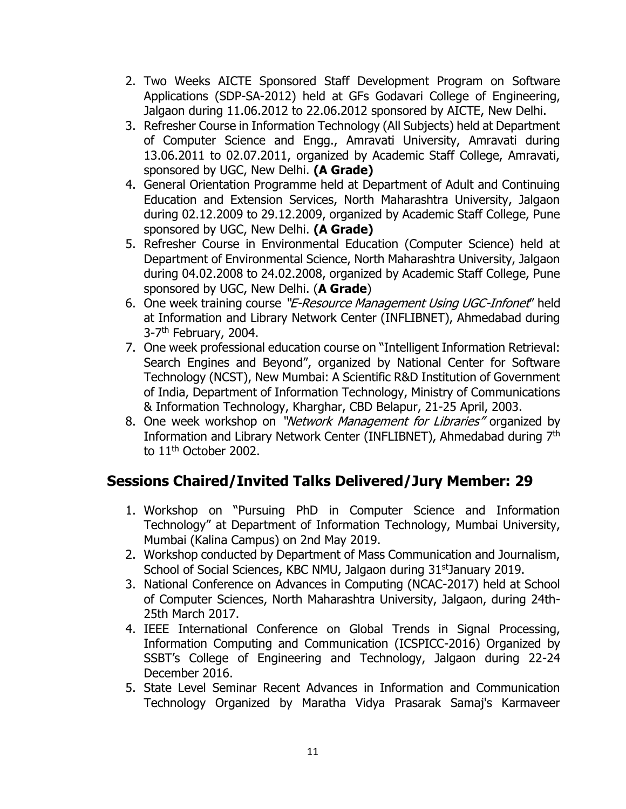- 2. Two Weeks AICTE Sponsored Staff Development Program on Software Applications (SDP-SA-2012) held at GFs Godavari College of Engineering, Jalgaon during 11.06.2012 to 22.06.2012 sponsored by AICTE, New Delhi.
- 3. Refresher Course in Information Technology (All Subjects) held at Department of Computer Science and Engg., Amravati University, Amravati during 13.06.2011 to 02.07.2011, organized by Academic Staff College, Amravati, sponsored by UGC, New Delhi. **(A Grade)**
- 4. General Orientation Programme held at Department of Adult and Continuing Education and Extension Services, North Maharashtra University, Jalgaon during 02.12.2009 to 29.12.2009, organized by Academic Staff College, Pune sponsored by UGC, New Delhi. **(A Grade)**
- 5. Refresher Course in Environmental Education (Computer Science) held at Department of Environmental Science, North Maharashtra University, Jalgaon during 04.02.2008 to 24.02.2008, organized by Academic Staff College, Pune sponsored by UGC, New Delhi. (**A Grade**)
- 6. One week training course "E-Resource Management Using UGC-Infonet" held at Information and Library Network Center (INFLIBNET), Ahmedabad during 3-7<sup>th</sup> February, 2004.
- 7. One week professional education course on "Intelligent Information Retrieval: Search Engines and Beyond", organized by National Center for Software Technology (NCST), New Mumbai: A Scientific R&D Institution of Government of India, Department of Information Technology, Ministry of Communications & Information Technology, Kharghar, CBD Belapur, 21-25 April, 2003.
- 8. One week workshop on "Network Management for Libraries" organized by Information and Library Network Center (INFLIBNET), Ahmedabad during 7th to 11<sup>th</sup> October 2002.

# **Sessions Chaired/Invited Talks Delivered/Jury Member: 29**

- 1. Workshop on "Pursuing PhD in Computer Science and Information Technology" at Department of Information Technology, Mumbai University, Mumbai (Kalina Campus) on 2nd May 2019.
- 2. Workshop conducted by Department of Mass Communication and Journalism, School of Social Sciences, KBC NMU, Jalgaon during 31<sup>st</sup>January 2019.
- 3. National Conference on Advances in Computing (NCAC-2017) held at School of Computer Sciences, North Maharashtra University, Jalgaon, during 24th-25th March 2017.
- 4. IEEE International Conference on Global Trends in Signal Processing, Information Computing and Communication (ICSPICC-2016) Organized by SSBT's College of Engineering and Technology, Jalgaon during 22-24 December 2016.
- 5. State Level Seminar Recent Advances in Information and Communication Technology Organized by Maratha Vidya Prasarak Samaj's Karmaveer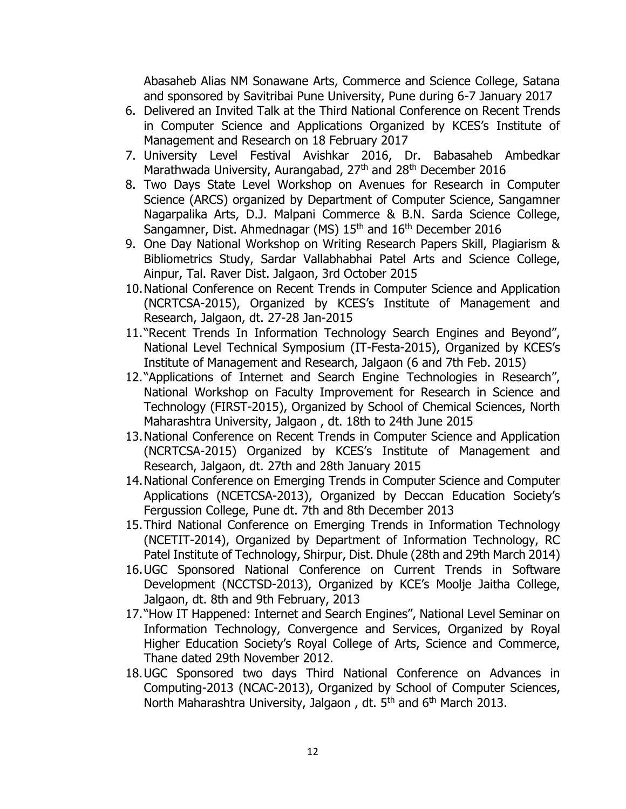Abasaheb Alias NM Sonawane Arts, Commerce and Science College, Satana and sponsored by Savitribai Pune University, Pune during 6-7 January 2017

- 6. Delivered an Invited Talk at the Third National Conference on Recent Trends in Computer Science and Applications Organized by KCES's Institute of Management and Research on 18 February 2017
- 7. University Level Festival Avishkar 2016, Dr. Babasaheb Ambedkar Marathwada University, Aurangabad, 27<sup>th</sup> and 28<sup>th</sup> December 2016
- 8. Two Days State Level Workshop on Avenues for Research in Computer Science (ARCS) organized by Department of Computer Science, Sangamner Nagarpalika Arts, D.J. Malpani Commerce & B.N. Sarda Science College, Sangamner, Dist. Ahmednagar (MS) 15<sup>th</sup> and 16<sup>th</sup> December 2016
- 9. One Day National Workshop on Writing Research Papers Skill, Plagiarism & Bibliometrics Study, Sardar Vallabhabhai Patel Arts and Science College, Ainpur, Tal. Raver Dist. Jalgaon, 3rd October 2015
- 10.National Conference on Recent Trends in Computer Science and Application (NCRTCSA-2015), Organized by KCES's Institute of Management and Research, Jalgaon, dt. 27-28 Jan-2015
- 11."Recent Trends In Information Technology Search Engines and Beyond", National Level Technical Symposium (IT-Festa-2015), Organized by KCES's Institute of Management and Research, Jalgaon (6 and 7th Feb. 2015)
- 12."Applications of Internet and Search Engine Technologies in Research", National Workshop on Faculty Improvement for Research in Science and Technology (FIRST-2015), Organized by School of Chemical Sciences, North Maharashtra University, Jalgaon , dt. 18th to 24th June 2015
- 13.National Conference on Recent Trends in Computer Science and Application (NCRTCSA-2015) Organized by KCES's Institute of Management and Research, Jalgaon, dt. 27th and 28th January 2015
- 14.National Conference on Emerging Trends in Computer Science and Computer Applications (NCETCSA-2013), Organized by Deccan Education Society's Fergussion College, Pune dt. 7th and 8th December 2013
- 15.Third National Conference on Emerging Trends in Information Technology (NCETIT-2014), Organized by Department of Information Technology, RC Patel Institute of Technology, Shirpur, Dist. Dhule (28th and 29th March 2014)
- 16.UGC Sponsored National Conference on Current Trends in Software Development (NCCTSD-2013), Organized by KCE's Moolje Jaitha College, Jalgaon, dt. 8th and 9th February, 2013
- 17."How IT Happened: Internet and Search Engines", National Level Seminar on Information Technology, Convergence and Services, Organized by Royal Higher Education Society's Royal College of Arts, Science and Commerce, Thane dated 29th November 2012.
- 18.UGC Sponsored two days Third National Conference on Advances in Computing-2013 (NCAC-2013), Organized by School of Computer Sciences, North Maharashtra University, Jalgaon, dt. 5<sup>th</sup> and 6<sup>th</sup> March 2013.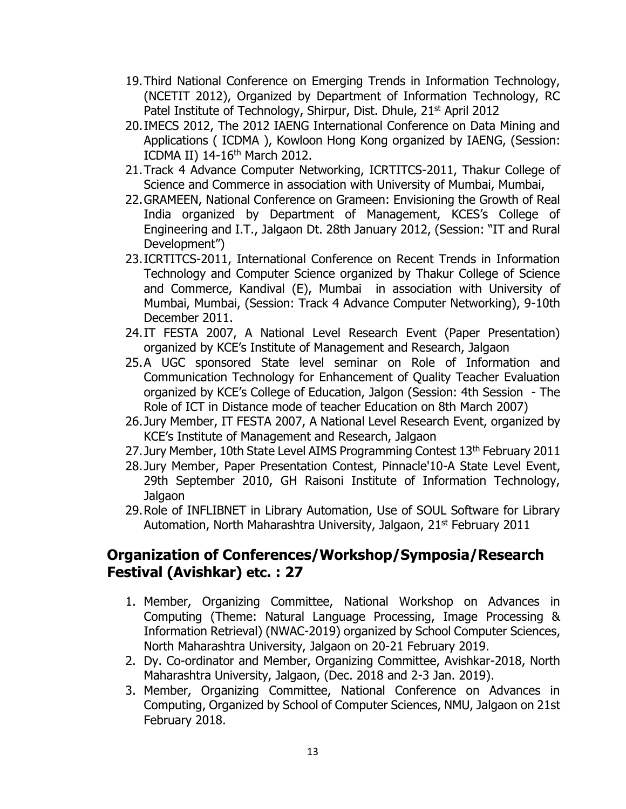- 19.Third National Conference on Emerging Trends in Information Technology, (NCETIT 2012), Organized by Department of Information Technology, RC Patel Institute of Technology, Shirpur, Dist. Dhule, 21<sup>st</sup> April 2012
- 20.IMECS 2012, The 2012 IAENG International Conference on Data Mining and Applications ( ICDMA ), Kowloon Hong Kong organized by IAENG, (Session: ICDMA II) 14-16<sup>th</sup> March 2012.
- 21.Track 4 Advance Computer Networking, ICRTITCS-2011, Thakur College of Science and Commerce in association with University of Mumbai, Mumbai,
- 22.GRAMEEN, National Conference on Grameen: Envisioning the Growth of Real India organized by Department of Management, KCES's College of Engineering and I.T., Jalgaon Dt. 28th January 2012, (Session: "IT and Rural Development")
- 23.ICRTITCS-2011, International Conference on Recent Trends in Information Technology and Computer Science organized by Thakur College of Science and Commerce, Kandival (E), Mumbai in association with University of Mumbai, Mumbai, (Session: Track 4 Advance Computer Networking), 9-10th December 2011.
- 24.IT FESTA 2007, A National Level Research Event (Paper Presentation) organized by KCE's Institute of Management and Research, Jalgaon
- 25.A UGC sponsored State level seminar on Role of Information and Communication Technology for Enhancement of Quality Teacher Evaluation organized by KCE's College of Education, Jalgon (Session: 4th Session - The Role of ICT in Distance mode of teacher Education on 8th March 2007)
- 26.Jury Member, IT FESTA 2007, A National Level Research Event, organized by KCE's Institute of Management and Research, Jalgaon
- 27. Jury Member, 10th State Level AIMS Programming Contest 13<sup>th</sup> February 2011
- 28.Jury Member, Paper Presentation Contest, Pinnacle'10-A State Level Event, 29th September 2010, GH Raisoni Institute of Information Technology, Jalgaon
- 29.Role of INFLIBNET in Library Automation, Use of SOUL Software for Library Automation, North Maharashtra University, Jalgaon, 21<sup>st</sup> February 2011

### **Organization of Conferences/Workshop/Symposia/Research Festival (Avishkar) etc. : 27**

- 1. Member, Organizing Committee, National Workshop on Advances in Computing (Theme: Natural Language Processing, Image Processing & Information Retrieval) (NWAC-2019) organized by School Computer Sciences, North Maharashtra University, Jalgaon on 20-21 February 2019.
- 2. Dy. Co-ordinator and Member, Organizing Committee, Avishkar-2018, North Maharashtra University, Jalgaon, (Dec. 2018 and 2-3 Jan. 2019).
- 3. Member, Organizing Committee, National Conference on Advances in Computing, Organized by School of Computer Sciences, NMU, Jalgaon on 21st February 2018.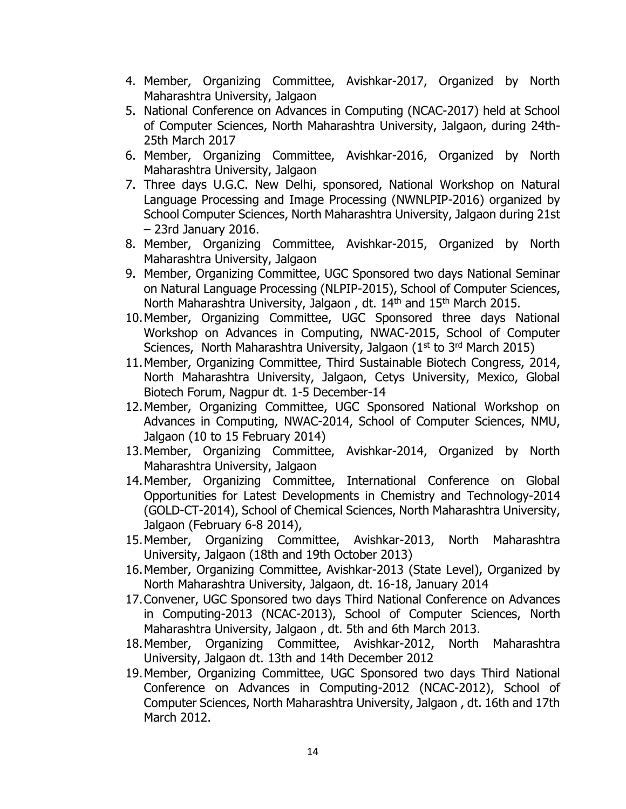- 4. Member, Organizing Committee, Avishkar-2017, Organized by North Maharashtra University, Jalgaon
- 5. National Conference on Advances in Computing (NCAC-2017) held at School of Computer Sciences, North Maharashtra University, Jalgaon, during 24th-25th March 2017
- 6. Member, Organizing Committee, Avishkar-2016, Organized by North Maharashtra University, Jalgaon
- 7. Three days U.G.C. New Delhi, sponsored, National Workshop on Natural Language Processing and Image Processing (NWNLPIP-2016) organized by School Computer Sciences, North Maharashtra University, Jalgaon during 21st – 23rd January 2016.
- 8. Member, Organizing Committee, Avishkar-2015, Organized by North Maharashtra University, Jalgaon
- 9. Member, Organizing Committee, UGC Sponsored two days National Seminar on Natural Language Processing (NLPIP-2015), School of Computer Sciences, North Maharashtra University, Jalgaon, dt. 14<sup>th</sup> and 15<sup>th</sup> March 2015.
- 10.Member, Organizing Committee, UGC Sponsored three days National Workshop on Advances in Computing, NWAC-2015, School of Computer Sciences, North Maharashtra University, Jalgaon  $(1<sup>st</sup>$  to 3<sup>rd</sup> March 2015)
- 11.Member, Organizing Committee, Third Sustainable Biotech Congress, 2014, North Maharashtra University, Jalgaon, Cetys University, Mexico, Global Biotech Forum, Nagpur dt. 1-5 December-14
- 12.Member, Organizing Committee, UGC Sponsored National Workshop on Advances in Computing, NWAC-2014, School of Computer Sciences, NMU, Jalgaon (10 to 15 February 2014)
- 13.Member, Organizing Committee, Avishkar-2014, Organized by North Maharashtra University, Jalgaon
- 14.Member, Organizing Committee, International Conference on Global Opportunities for Latest Developments in Chemistry and Technology-2014 (GOLD-CT-2014), School of Chemical Sciences, North Maharashtra University, Jalgaon (February 6-8 2014),
- 15.Member, Organizing Committee, Avishkar-2013, North Maharashtra University, Jalgaon (18th and 19th October 2013)
- 16.Member, Organizing Committee, Avishkar-2013 (State Level), Organized by North Maharashtra University, Jalgaon, dt. 16-18, January 2014
- 17.Convener, UGC Sponsored two days Third National Conference on Advances in Computing-2013 (NCAC-2013), School of Computer Sciences, North Maharashtra University, Jalgaon , dt. 5th and 6th March 2013.
- 18.Member, Organizing Committee, Avishkar-2012, North Maharashtra University, Jalgaon dt. 13th and 14th December 2012
- 19.Member, Organizing Committee, UGC Sponsored two days Third National Conference on Advances in Computing-2012 (NCAC-2012), School of Computer Sciences, North Maharashtra University, Jalgaon , dt. 16th and 17th March 2012.